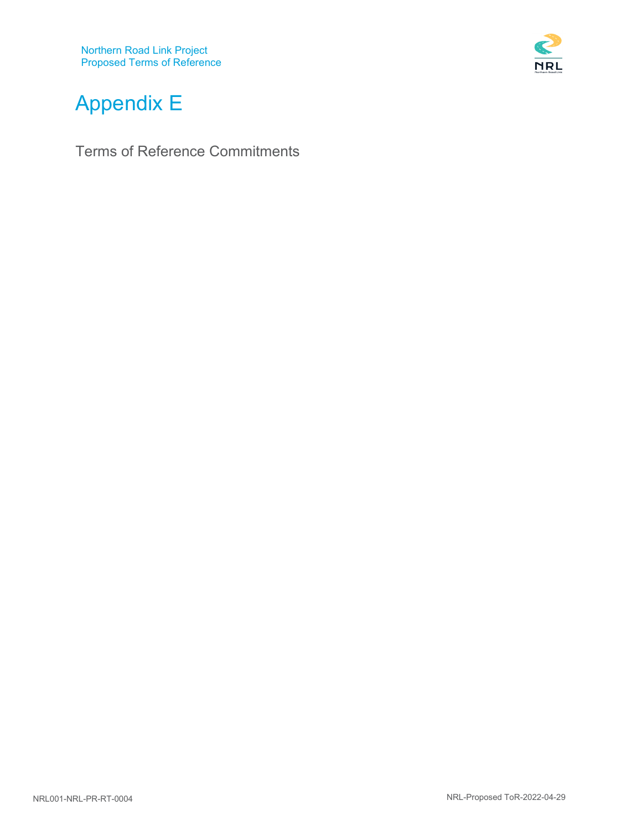

# Appendix E

Terms of Reference Commitments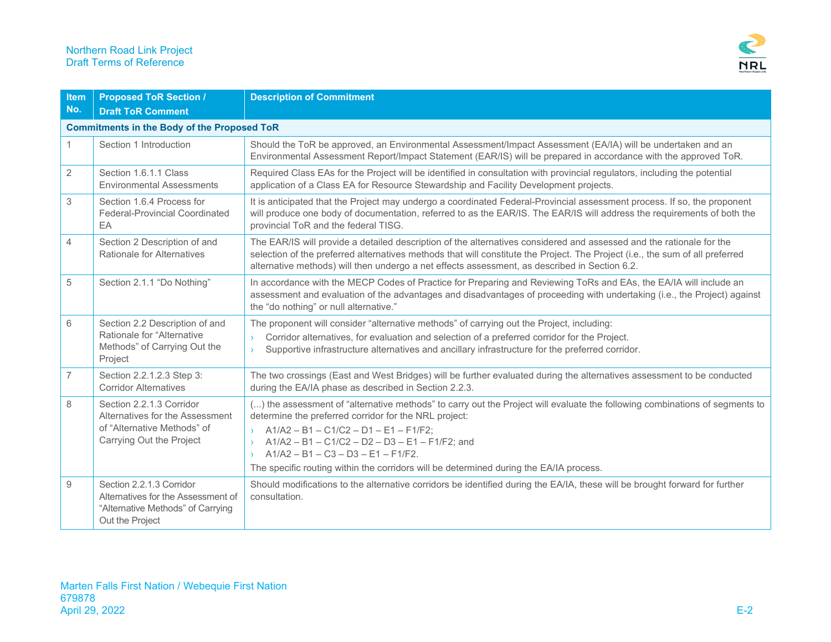

| <b>Item</b>    | <b>Proposed ToR Section /</b>                                                                                          | <b>Description of Commitment</b>                                                                                                                                                                                                                                                                                                                                                                                                                              |
|----------------|------------------------------------------------------------------------------------------------------------------------|---------------------------------------------------------------------------------------------------------------------------------------------------------------------------------------------------------------------------------------------------------------------------------------------------------------------------------------------------------------------------------------------------------------------------------------------------------------|
| No.            | <b>Draft ToR Comment</b>                                                                                               |                                                                                                                                                                                                                                                                                                                                                                                                                                                               |
|                | <b>Commitments in the Body of the Proposed ToR</b>                                                                     |                                                                                                                                                                                                                                                                                                                                                                                                                                                               |
|                | Section 1 Introduction                                                                                                 | Should the ToR be approved, an Environmental Assessment/Impact Assessment (EA/IA) will be undertaken and an<br>Environmental Assessment Report/Impact Statement (EAR/IS) will be prepared in accordance with the approved ToR.                                                                                                                                                                                                                                |
| $\overline{2}$ | Section 1.6.1.1 Class<br><b>Environmental Assessments</b>                                                              | Required Class EAs for the Project will be identified in consultation with provincial regulators, including the potential<br>application of a Class EA for Resource Stewardship and Facility Development projects.                                                                                                                                                                                                                                            |
| 3              | Section 1.6.4 Process for<br>Federal-Provincial Coordinated<br>EA                                                      | It is anticipated that the Project may undergo a coordinated Federal-Provincial assessment process. If so, the proponent<br>will produce one body of documentation, referred to as the EAR/IS. The EAR/IS will address the requirements of both the<br>provincial ToR and the federal TISG.                                                                                                                                                                   |
| $\overline{4}$ | Section 2 Description of and<br>Rationale for Alternatives                                                             | The EAR/IS will provide a detailed description of the alternatives considered and assessed and the rationale for the<br>selection of the preferred alternatives methods that will constitute the Project. The Project (i.e., the sum of all preferred<br>alternative methods) will then undergo a net effects assessment, as described in Section 6.2.                                                                                                        |
| 5              | Section 2.1.1 "Do Nothing"                                                                                             | In accordance with the MECP Codes of Practice for Preparing and Reviewing ToRs and EAs, the EA/IA will include an<br>assessment and evaluation of the advantages and disadvantages of proceeding with undertaking (i.e., the Project) against<br>the "do nothing" or null alternative."                                                                                                                                                                       |
| 6              | Section 2.2 Description of and<br>Rationale for "Alternative<br>Methods" of Carrying Out the<br>Project                | The proponent will consider "alternative methods" of carrying out the Project, including:<br>Corridor alternatives, for evaluation and selection of a preferred corridor for the Project.<br>$\lambda$<br>Supportive infrastructure alternatives and ancillary infrastructure for the preferred corridor.<br>$\rightarrow$                                                                                                                                    |
| 7              | Section 2.2.1.2.3 Step 3:<br><b>Corridor Alternatives</b>                                                              | The two crossings (East and West Bridges) will be further evaluated during the alternatives assessment to be conducted<br>during the EA/IA phase as described in Section 2.2.3.                                                                                                                                                                                                                                                                               |
| 8              | Section 2.2.1.3 Corridor<br>Alternatives for the Assessment<br>of "Alternative Methods" of<br>Carrying Out the Project | () the assessment of "alternative methods" to carry out the Project will evaluate the following combinations of segments to<br>determine the preferred corridor for the NRL project:<br>$\rightarrow$ A1/A2 - B1 - C1/C2 - D1 - E1 - F1/F2;<br>$A1/A2 - B1 - C1/C2 - D2 - D3 - E1 - F1/F2$ ; and<br>$\sum$<br>$A1/A2 - B1 - C3 - D3 - E1 - F1/F2.$<br>$\mathcal{F}$<br>The specific routing within the corridors will be determined during the EA/IA process. |
| 9              | Section 2.2.1.3 Corridor<br>Alternatives for the Assessment of<br>"Alternative Methods" of Carrying<br>Out the Project | Should modifications to the alternative corridors be identified during the EA/IA, these will be brought forward for further<br>consultation.                                                                                                                                                                                                                                                                                                                  |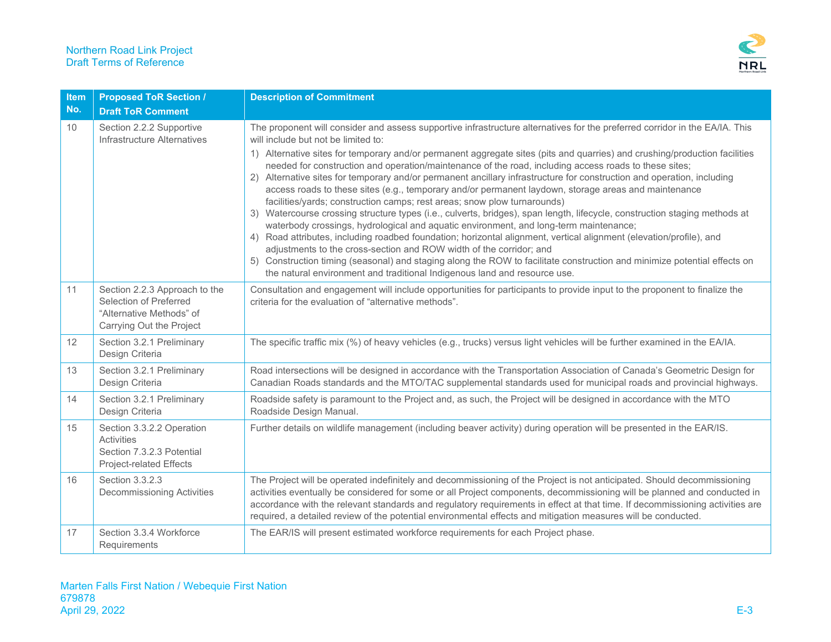

| <b>Item</b> | <b>Proposed ToR Section /</b>                                                                                   | <b>Description of Commitment</b>                                                                                                                                                                                                                                                                                                                                                                                                                                                                                                                                                                                                                                                                                                                                                                                                                                                                                                                                                                                                                                                                                                                                                                                                                                                                                                                      |
|-------------|-----------------------------------------------------------------------------------------------------------------|-------------------------------------------------------------------------------------------------------------------------------------------------------------------------------------------------------------------------------------------------------------------------------------------------------------------------------------------------------------------------------------------------------------------------------------------------------------------------------------------------------------------------------------------------------------------------------------------------------------------------------------------------------------------------------------------------------------------------------------------------------------------------------------------------------------------------------------------------------------------------------------------------------------------------------------------------------------------------------------------------------------------------------------------------------------------------------------------------------------------------------------------------------------------------------------------------------------------------------------------------------------------------------------------------------------------------------------------------------|
| No.         | <b>Draft ToR Comment</b>                                                                                        |                                                                                                                                                                                                                                                                                                                                                                                                                                                                                                                                                                                                                                                                                                                                                                                                                                                                                                                                                                                                                                                                                                                                                                                                                                                                                                                                                       |
| 10          | Section 2.2.2 Supportive<br>Infrastructure Alternatives                                                         | The proponent will consider and assess supportive infrastructure alternatives for the preferred corridor in the EA/IA. This<br>will include but not be limited to:<br>1) Alternative sites for temporary and/or permanent aggregate sites (pits and quarries) and crushing/production facilities<br>needed for construction and operation/maintenance of the road, including access roads to these sites;<br>2) Alternative sites for temporary and/or permanent ancillary infrastructure for construction and operation, including<br>access roads to these sites (e.g., temporary and/or permanent laydown, storage areas and maintenance<br>facilities/yards; construction camps; rest areas; snow plow turnarounds)<br>3) Watercourse crossing structure types (i.e., culverts, bridges), span length, lifecycle, construction staging methods at<br>waterbody crossings, hydrological and aquatic environment, and long-term maintenance;<br>4) Road attributes, including roadbed foundation; horizontal alignment, vertical alignment (elevation/profile), and<br>adjustments to the cross-section and ROW width of the corridor; and<br>5) Construction timing (seasonal) and staging along the ROW to facilitate construction and minimize potential effects on<br>the natural environment and traditional Indigenous land and resource use. |
| 11          | Section 2.2.3 Approach to the<br>Selection of Preferred<br>"Alternative Methods" of<br>Carrying Out the Project | Consultation and engagement will include opportunities for participants to provide input to the proponent to finalize the<br>criteria for the evaluation of "alternative methods".                                                                                                                                                                                                                                                                                                                                                                                                                                                                                                                                                                                                                                                                                                                                                                                                                                                                                                                                                                                                                                                                                                                                                                    |
| 12          | Section 3.2.1 Preliminary<br>Design Criteria                                                                    | The specific traffic mix (%) of heavy vehicles (e.g., trucks) versus light vehicles will be further examined in the EA/IA.                                                                                                                                                                                                                                                                                                                                                                                                                                                                                                                                                                                                                                                                                                                                                                                                                                                                                                                                                                                                                                                                                                                                                                                                                            |
| 13          | Section 3.2.1 Preliminary<br>Design Criteria                                                                    | Road intersections will be designed in accordance with the Transportation Association of Canada's Geometric Design for<br>Canadian Roads standards and the MTO/TAC supplemental standards used for municipal roads and provincial highways.                                                                                                                                                                                                                                                                                                                                                                                                                                                                                                                                                                                                                                                                                                                                                                                                                                                                                                                                                                                                                                                                                                           |
| 14          | Section 3.2.1 Preliminary<br>Design Criteria                                                                    | Roadside safety is paramount to the Project and, as such, the Project will be designed in accordance with the MTO<br>Roadside Design Manual.                                                                                                                                                                                                                                                                                                                                                                                                                                                                                                                                                                                                                                                                                                                                                                                                                                                                                                                                                                                                                                                                                                                                                                                                          |
| 15          | Section 3.3.2.2 Operation<br><b>Activities</b><br>Section 7.3.2.3 Potential<br>Project-related Effects          | Further details on wildlife management (including beaver activity) during operation will be presented in the EAR/IS.                                                                                                                                                                                                                                                                                                                                                                                                                                                                                                                                                                                                                                                                                                                                                                                                                                                                                                                                                                                                                                                                                                                                                                                                                                  |
| 16          | Section 3.3.2.3<br><b>Decommissioning Activities</b>                                                            | The Project will be operated indefinitely and decommissioning of the Project is not anticipated. Should decommissioning<br>activities eventually be considered for some or all Project components, decommissioning will be planned and conducted in<br>accordance with the relevant standards and regulatory requirements in effect at that time. If decommissioning activities are<br>required, a detailed review of the potential environmental effects and mitigation measures will be conducted.                                                                                                                                                                                                                                                                                                                                                                                                                                                                                                                                                                                                                                                                                                                                                                                                                                                  |
| 17          | Section 3.3.4 Workforce<br>Requirements                                                                         | The EAR/IS will present estimated workforce requirements for each Project phase.                                                                                                                                                                                                                                                                                                                                                                                                                                                                                                                                                                                                                                                                                                                                                                                                                                                                                                                                                                                                                                                                                                                                                                                                                                                                      |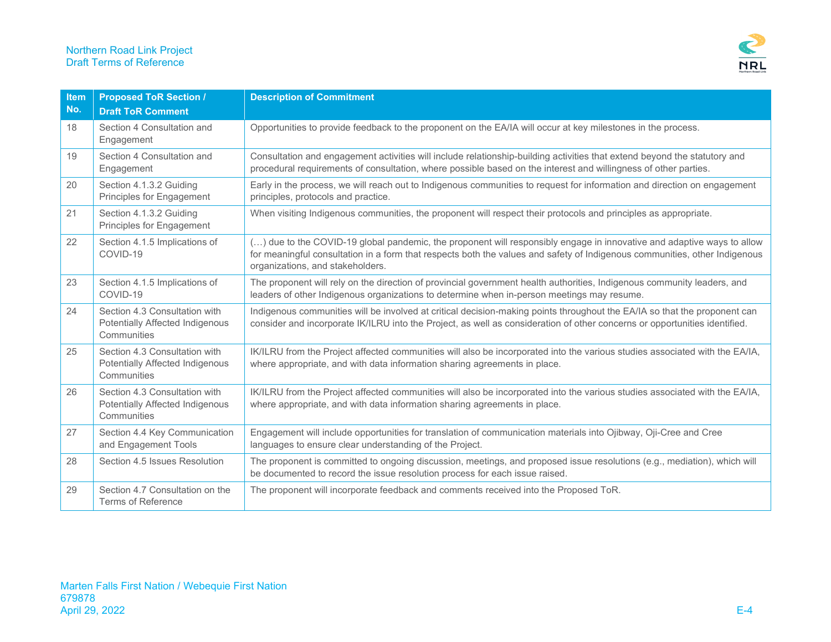

| <b>Item</b><br>No. | <b>Proposed ToR Section /</b><br><b>Draft ToR Comment</b>                       | <b>Description of Commitment</b>                                                                                                                                                                                                                                                         |
|--------------------|---------------------------------------------------------------------------------|------------------------------------------------------------------------------------------------------------------------------------------------------------------------------------------------------------------------------------------------------------------------------------------|
| 18                 | Section 4 Consultation and<br>Engagement                                        | Opportunities to provide feedback to the proponent on the EA/IA will occur at key milestones in the process.                                                                                                                                                                             |
| 19                 | Section 4 Consultation and<br>Engagement                                        | Consultation and engagement activities will include relationship-building activities that extend beyond the statutory and<br>procedural requirements of consultation, where possible based on the interest and willingness of other parties.                                             |
| 20                 | Section 4.1.3.2 Guiding<br>Principles for Engagement                            | Early in the process, we will reach out to Indigenous communities to request for information and direction on engagement<br>principles, protocols and practice.                                                                                                                          |
| 21                 | Section 4.1.3.2 Guiding<br>Principles for Engagement                            | When visiting Indigenous communities, the proponent will respect their protocols and principles as appropriate.                                                                                                                                                                          |
| 22                 | Section 4.1.5 Implications of<br>COVID-19                                       | () due to the COVID-19 global pandemic, the proponent will responsibly engage in innovative and adaptive ways to allow<br>for meaningful consultation in a form that respects both the values and safety of Indigenous communities, other Indigenous<br>organizations, and stakeholders. |
| 23                 | Section 4.1.5 Implications of<br>COVID-19                                       | The proponent will rely on the direction of provincial government health authorities, Indigenous community leaders, and<br>leaders of other Indigenous organizations to determine when in-person meetings may resume.                                                                    |
| 24                 | Section 4.3 Consultation with<br>Potentially Affected Indigenous<br>Communities | Indigenous communities will be involved at critical decision-making points throughout the EA/IA so that the proponent can<br>consider and incorporate IK/ILRU into the Project, as well as consideration of other concerns or opportunities identified.                                  |
| 25                 | Section 4.3 Consultation with<br>Potentially Affected Indigenous<br>Communities | IK/ILRU from the Project affected communities will also be incorporated into the various studies associated with the EA/IA,<br>where appropriate, and with data information sharing agreements in place.                                                                                 |
| 26                 | Section 4.3 Consultation with<br>Potentially Affected Indigenous<br>Communities | IK/ILRU from the Project affected communities will also be incorporated into the various studies associated with the EA/IA,<br>where appropriate, and with data information sharing agreements in place.                                                                                 |
| 27                 | Section 4.4 Key Communication<br>and Engagement Tools                           | Engagement will include opportunities for translation of communication materials into Ojibway, Oji-Cree and Cree<br>languages to ensure clear understanding of the Project.                                                                                                              |
| 28                 | Section 4.5 Issues Resolution                                                   | The proponent is committed to ongoing discussion, meetings, and proposed issue resolutions (e.g., mediation), which will<br>be documented to record the issue resolution process for each issue raised.                                                                                  |
| 29                 | Section 4.7 Consultation on the<br><b>Terms of Reference</b>                    | The proponent will incorporate feedback and comments received into the Proposed ToR.                                                                                                                                                                                                     |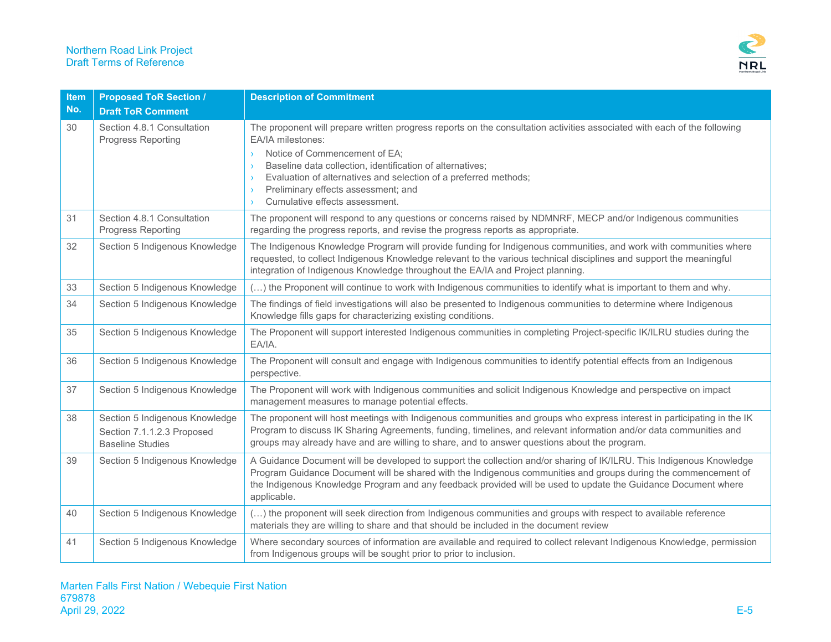

| <b>Item</b> | <b>Proposed ToR Section /</b>                                                           | <b>Description of Commitment</b>                                                                                                                                                                                                                                                                                                                                                         |
|-------------|-----------------------------------------------------------------------------------------|------------------------------------------------------------------------------------------------------------------------------------------------------------------------------------------------------------------------------------------------------------------------------------------------------------------------------------------------------------------------------------------|
| No.         | <b>Draft ToR Comment</b>                                                                |                                                                                                                                                                                                                                                                                                                                                                                          |
| 30          | Section 4.8.1 Consultation<br>Progress Reporting                                        | The proponent will prepare written progress reports on the consultation activities associated with each of the following<br>EA/IA milestones:<br>Notice of Commencement of EA;<br>Baseline data collection, identification of alternatives;<br>Evaluation of alternatives and selection of a preferred methods;<br>Preliminary effects assessment; and<br>Cumulative effects assessment. |
| 31          | Section 4.8.1 Consultation<br>Progress Reporting                                        | The proponent will respond to any questions or concerns raised by NDMNRF, MECP and/or Indigenous communities<br>regarding the progress reports, and revise the progress reports as appropriate.                                                                                                                                                                                          |
| 32          | Section 5 Indigenous Knowledge                                                          | The Indigenous Knowledge Program will provide funding for Indigenous communities, and work with communities where<br>requested, to collect Indigenous Knowledge relevant to the various technical disciplines and support the meaningful<br>integration of Indigenous Knowledge throughout the EA/IA and Project planning.                                                               |
| 33          | Section 5 Indigenous Knowledge                                                          | () the Proponent will continue to work with Indigenous communities to identify what is important to them and why.                                                                                                                                                                                                                                                                        |
| 34          | Section 5 Indigenous Knowledge                                                          | The findings of field investigations will also be presented to Indigenous communities to determine where Indigenous<br>Knowledge fills gaps for characterizing existing conditions.                                                                                                                                                                                                      |
| 35          | Section 5 Indigenous Knowledge                                                          | The Proponent will support interested Indigenous communities in completing Project-specific IK/ILRU studies during the<br>EA/IA.                                                                                                                                                                                                                                                         |
| 36          | Section 5 Indigenous Knowledge                                                          | The Proponent will consult and engage with Indigenous communities to identify potential effects from an Indigenous<br>perspective.                                                                                                                                                                                                                                                       |
| 37          | Section 5 Indigenous Knowledge                                                          | The Proponent will work with Indigenous communities and solicit Indigenous Knowledge and perspective on impact<br>management measures to manage potential effects.                                                                                                                                                                                                                       |
| 38          | Section 5 Indigenous Knowledge<br>Section 7.1.1.2.3 Proposed<br><b>Baseline Studies</b> | The proponent will host meetings with Indigenous communities and groups who express interest in participating in the IK<br>Program to discuss IK Sharing Agreements, funding, timelines, and relevant information and/or data communities and<br>groups may already have and are willing to share, and to answer questions about the program.                                            |
| 39          | Section 5 Indigenous Knowledge                                                          | A Guidance Document will be developed to support the collection and/or sharing of IK/ILRU. This Indigenous Knowledge<br>Program Guidance Document will be shared with the Indigenous communities and groups during the commencement of<br>the Indigenous Knowledge Program and any feedback provided will be used to update the Guidance Document where<br>applicable.                   |
| 40          | Section 5 Indigenous Knowledge                                                          | () the proponent will seek direction from Indigenous communities and groups with respect to available reference<br>materials they are willing to share and that should be included in the document review                                                                                                                                                                                |
| 41          | Section 5 Indigenous Knowledge                                                          | Where secondary sources of information are available and required to collect relevant Indigenous Knowledge, permission<br>from Indigenous groups will be sought prior to prior to inclusion.                                                                                                                                                                                             |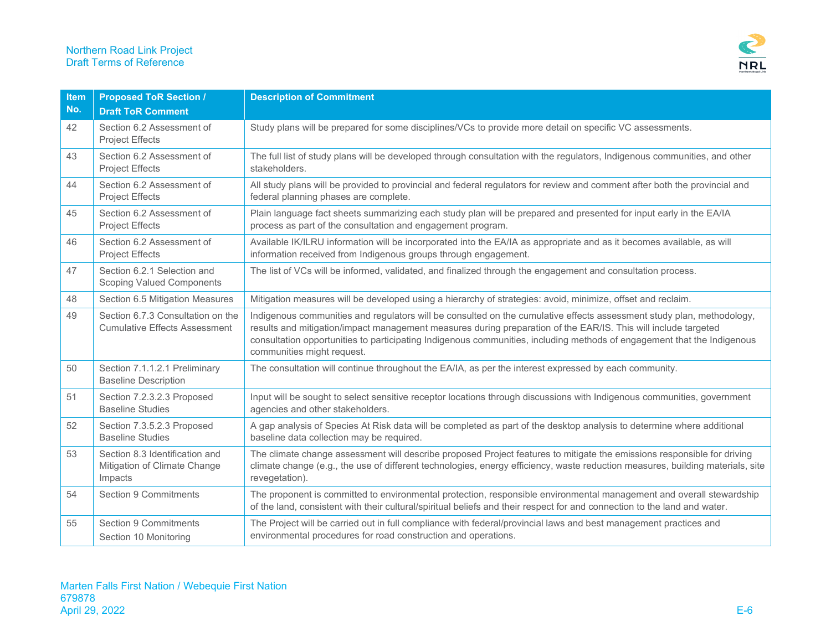

| <b>Item</b><br>No. | <b>Proposed ToR Section /</b>                                             | <b>Description of Commitment</b>                                                                                                                                                                                                                                                                                                                                                                 |
|--------------------|---------------------------------------------------------------------------|--------------------------------------------------------------------------------------------------------------------------------------------------------------------------------------------------------------------------------------------------------------------------------------------------------------------------------------------------------------------------------------------------|
|                    | <b>Draft ToR Comment</b>                                                  |                                                                                                                                                                                                                                                                                                                                                                                                  |
| 42                 | Section 6.2 Assessment of<br><b>Project Effects</b>                       | Study plans will be prepared for some disciplines/VCs to provide more detail on specific VC assessments.                                                                                                                                                                                                                                                                                         |
| 43                 | Section 6.2 Assessment of<br><b>Project Effects</b>                       | The full list of study plans will be developed through consultation with the regulators, Indigenous communities, and other<br>stakeholders.                                                                                                                                                                                                                                                      |
| 44                 | Section 6.2 Assessment of<br><b>Project Effects</b>                       | All study plans will be provided to provincial and federal regulators for review and comment after both the provincial and<br>federal planning phases are complete.                                                                                                                                                                                                                              |
| 45                 | Section 6.2 Assessment of<br><b>Project Effects</b>                       | Plain language fact sheets summarizing each study plan will be prepared and presented for input early in the EA/IA<br>process as part of the consultation and engagement program.                                                                                                                                                                                                                |
| 46                 | Section 6.2 Assessment of<br><b>Project Effects</b>                       | Available IK/ILRU information will be incorporated into the EA/IA as appropriate and as it becomes available, as will<br>information received from Indigenous groups through engagement.                                                                                                                                                                                                         |
| 47                 | Section 6.2.1 Selection and<br><b>Scoping Valued Components</b>           | The list of VCs will be informed, validated, and finalized through the engagement and consultation process.                                                                                                                                                                                                                                                                                      |
| 48                 | Section 6.5 Mitigation Measures                                           | Mitigation measures will be developed using a hierarchy of strategies: avoid, minimize, offset and reclaim.                                                                                                                                                                                                                                                                                      |
| 49                 | Section 6.7.3 Consultation on the<br><b>Cumulative Effects Assessment</b> | Indigenous communities and regulators will be consulted on the cumulative effects assessment study plan, methodology,<br>results and mitigation/impact management measures during preparation of the EAR/IS. This will include targeted<br>consultation opportunities to participating Indigenous communities, including methods of engagement that the Indigenous<br>communities might request. |
| 50                 | Section 7.1.1.2.1 Preliminary<br><b>Baseline Description</b>              | The consultation will continue throughout the EA/IA, as per the interest expressed by each community.                                                                                                                                                                                                                                                                                            |
| 51                 | Section 7.2.3.2.3 Proposed<br><b>Baseline Studies</b>                     | Input will be sought to select sensitive receptor locations through discussions with Indigenous communities, government<br>agencies and other stakeholders.                                                                                                                                                                                                                                      |
| 52                 | Section 7.3.5.2.3 Proposed<br><b>Baseline Studies</b>                     | A gap analysis of Species At Risk data will be completed as part of the desktop analysis to determine where additional<br>baseline data collection may be required.                                                                                                                                                                                                                              |
| 53                 | Section 8.3 Identification and<br>Mitigation of Climate Change<br>Impacts | The climate change assessment will describe proposed Project features to mitigate the emissions responsible for driving<br>climate change (e.g., the use of different technologies, energy efficiency, waste reduction measures, building materials, site<br>revegetation).                                                                                                                      |
| 54                 | Section 9 Commitments                                                     | The proponent is committed to environmental protection, responsible environmental management and overall stewardship<br>of the land, consistent with their cultural/spiritual beliefs and their respect for and connection to the land and water.                                                                                                                                                |
| 55                 | <b>Section 9 Commitments</b><br>Section 10 Monitoring                     | The Project will be carried out in full compliance with federal/provincial laws and best management practices and<br>environmental procedures for road construction and operations.                                                                                                                                                                                                              |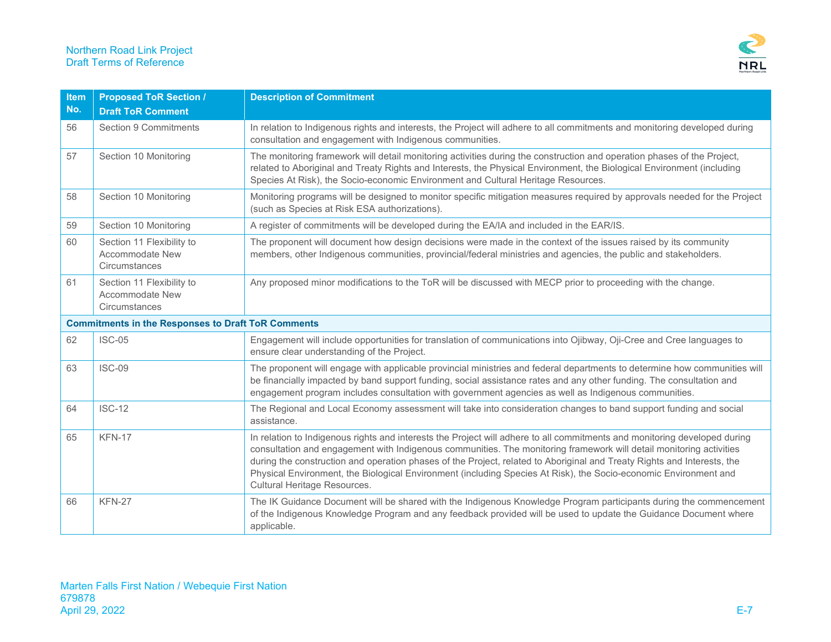

| <b>Item</b><br>No.                                        | <b>Proposed ToR Section /</b><br><b>Draft ToR Comment</b>     | <b>Description of Commitment</b>                                                                                                                                                                                                                                                                                                                                                                                                                                                                                                |
|-----------------------------------------------------------|---------------------------------------------------------------|---------------------------------------------------------------------------------------------------------------------------------------------------------------------------------------------------------------------------------------------------------------------------------------------------------------------------------------------------------------------------------------------------------------------------------------------------------------------------------------------------------------------------------|
| 56                                                        | <b>Section 9 Commitments</b>                                  | In relation to Indigenous rights and interests, the Project will adhere to all commitments and monitoring developed during<br>consultation and engagement with Indigenous communities.                                                                                                                                                                                                                                                                                                                                          |
| 57                                                        | Section 10 Monitoring                                         | The monitoring framework will detail monitoring activities during the construction and operation phases of the Project,<br>related to Aboriginal and Treaty Rights and Interests, the Physical Environment, the Biological Environment (including<br>Species At Risk), the Socio-economic Environment and Cultural Heritage Resources.                                                                                                                                                                                          |
| 58                                                        | Section 10 Monitoring                                         | Monitoring programs will be designed to monitor specific mitigation measures required by approvals needed for the Project<br>(such as Species at Risk ESA authorizations).                                                                                                                                                                                                                                                                                                                                                      |
| 59                                                        | Section 10 Monitoring                                         | A register of commitments will be developed during the EA/IA and included in the EAR/IS.                                                                                                                                                                                                                                                                                                                                                                                                                                        |
| 60                                                        | Section 11 Flexibility to<br>Accommodate New<br>Circumstances | The proponent will document how design decisions were made in the context of the issues raised by its community<br>members, other Indigenous communities, provincial/federal ministries and agencies, the public and stakeholders.                                                                                                                                                                                                                                                                                              |
| 61                                                        | Section 11 Flexibility to<br>Accommodate New<br>Circumstances | Any proposed minor modifications to the ToR will be discussed with MECP prior to proceeding with the change.                                                                                                                                                                                                                                                                                                                                                                                                                    |
| <b>Commitments in the Responses to Draft ToR Comments</b> |                                                               |                                                                                                                                                                                                                                                                                                                                                                                                                                                                                                                                 |
| 62                                                        | <b>ISC-05</b>                                                 | Engagement will include opportunities for translation of communications into Ojibway, Oji-Cree and Cree languages to<br>ensure clear understanding of the Project.                                                                                                                                                                                                                                                                                                                                                              |
| 63                                                        | <b>ISC-09</b>                                                 | The proponent will engage with applicable provincial ministries and federal departments to determine how communities will<br>be financially impacted by band support funding, social assistance rates and any other funding. The consultation and<br>engagement program includes consultation with government agencies as well as Indigenous communities.                                                                                                                                                                       |
| 64                                                        | <b>ISC-12</b>                                                 | The Regional and Local Economy assessment will take into consideration changes to band support funding and social<br>assistance.                                                                                                                                                                                                                                                                                                                                                                                                |
| 65                                                        | <b>KFN-17</b>                                                 | In relation to Indigenous rights and interests the Project will adhere to all commitments and monitoring developed during<br>consultation and engagement with Indigenous communities. The monitoring framework will detail monitoring activities<br>during the construction and operation phases of the Project, related to Aboriginal and Treaty Rights and Interests, the<br>Physical Environment, the Biological Environment (including Species At Risk), the Socio-economic Environment and<br>Cultural Heritage Resources. |
| 66                                                        | <b>KFN-27</b>                                                 | The IK Guidance Document will be shared with the Indigenous Knowledge Program participants during the commencement<br>of the Indigenous Knowledge Program and any feedback provided will be used to update the Guidance Document where<br>applicable.                                                                                                                                                                                                                                                                           |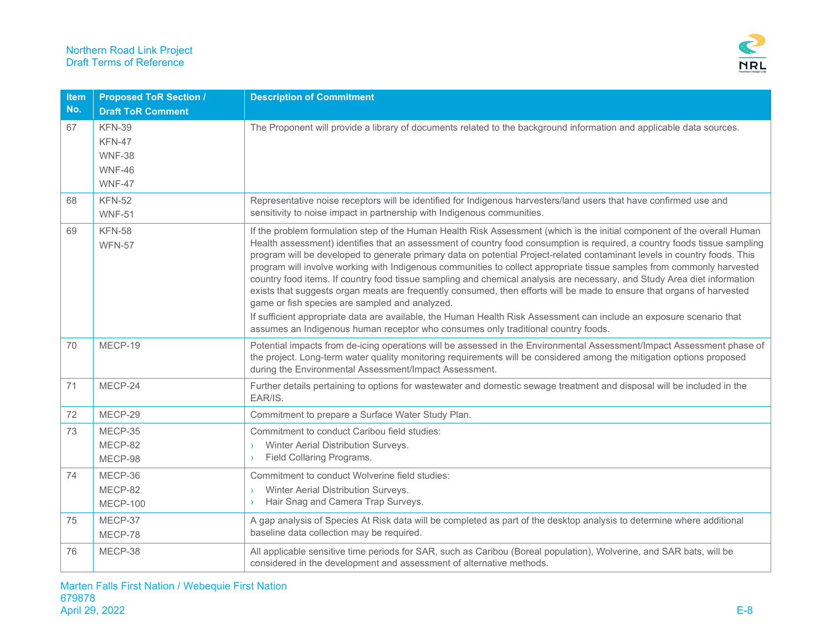

| <b>Item</b> | <b>Proposed ToR Section /</b>                                       | <b>Description of Commitment</b>                                                                                                                                                                                                                                                                                                                                                                                                                                                                                                                                                                                                                                                                                                                                                                                                                                                                                                                                                                                                  |
|-------------|---------------------------------------------------------------------|-----------------------------------------------------------------------------------------------------------------------------------------------------------------------------------------------------------------------------------------------------------------------------------------------------------------------------------------------------------------------------------------------------------------------------------------------------------------------------------------------------------------------------------------------------------------------------------------------------------------------------------------------------------------------------------------------------------------------------------------------------------------------------------------------------------------------------------------------------------------------------------------------------------------------------------------------------------------------------------------------------------------------------------|
| No.         | <b>Draft ToR Comment</b>                                            |                                                                                                                                                                                                                                                                                                                                                                                                                                                                                                                                                                                                                                                                                                                                                                                                                                                                                                                                                                                                                                   |
| 67          | <b>KFN-39</b><br>KFN-47<br><b>WNF-38</b><br><b>WNF-46</b><br>WNF-47 | The Proponent will provide a library of documents related to the background information and applicable data sources.                                                                                                                                                                                                                                                                                                                                                                                                                                                                                                                                                                                                                                                                                                                                                                                                                                                                                                              |
| 68          | <b>KFN-52</b><br><b>WNF-51</b>                                      | Representative noise receptors will be identified for Indigenous harvesters/land users that have confirmed use and<br>sensitivity to noise impact in partnership with Indigenous communities.                                                                                                                                                                                                                                                                                                                                                                                                                                                                                                                                                                                                                                                                                                                                                                                                                                     |
| 69          | <b>KFN-58</b><br><b>WFN-57</b>                                      | If the problem formulation step of the Human Health Risk Assessment (which is the initial component of the overall Human<br>Health assessment) identifies that an assessment of country food consumption is required, a country foods tissue sampling<br>program will be developed to generate primary data on potential Project-related contaminant levels in country foods. This<br>program will involve working with Indigenous communities to collect appropriate tissue samples from commonly harvested<br>country food items. If country food tissue sampling and chemical analysis are necessary, and Study Area diet information<br>exists that suggests organ meats are frequently consumed, then efforts will be made to ensure that organs of harvested<br>game or fish species are sampled and analyzed.<br>If sufficient appropriate data are available, the Human Health Risk Assessment can include an exposure scenario that<br>assumes an Indigenous human receptor who consumes only traditional country foods. |
| 70          | MECP-19                                                             | Potential impacts from de-icing operations will be assessed in the Environmental Assessment/Impact Assessment phase of<br>the project. Long-term water quality monitoring requirements will be considered among the mitigation options proposed<br>during the Environmental Assessment/Impact Assessment.                                                                                                                                                                                                                                                                                                                                                                                                                                                                                                                                                                                                                                                                                                                         |
| 71          | MECP-24                                                             | Further details pertaining to options for wastewater and domestic sewage treatment and disposal will be included in the<br>EAR/IS.                                                                                                                                                                                                                                                                                                                                                                                                                                                                                                                                                                                                                                                                                                                                                                                                                                                                                                |
| 72          | MECP-29                                                             | Commitment to prepare a Surface Water Study Plan.                                                                                                                                                                                                                                                                                                                                                                                                                                                                                                                                                                                                                                                                                                                                                                                                                                                                                                                                                                                 |
| 73          | MECP-35<br>MECP-82<br>MECP-98                                       | Commitment to conduct Caribou field studies:<br>Winter Aerial Distribution Surveys.<br>Field Collaring Programs.                                                                                                                                                                                                                                                                                                                                                                                                                                                                                                                                                                                                                                                                                                                                                                                                                                                                                                                  |
| 74          | MECP-36<br>MECP-82<br><b>MECP-100</b>                               | Commitment to conduct Wolverine field studies:<br>Winter Aerial Distribution Surveys.<br>Hair Snag and Camera Trap Surveys.                                                                                                                                                                                                                                                                                                                                                                                                                                                                                                                                                                                                                                                                                                                                                                                                                                                                                                       |
| 75          | MECP-37<br>MECP-78                                                  | A gap analysis of Species At Risk data will be completed as part of the desktop analysis to determine where additional<br>baseline data collection may be required.                                                                                                                                                                                                                                                                                                                                                                                                                                                                                                                                                                                                                                                                                                                                                                                                                                                               |
| 76          | MECP-38                                                             | All applicable sensitive time periods for SAR, such as Caribou (Boreal population), Wolverine, and SAR bats, will be<br>considered in the development and assessment of alternative methods.                                                                                                                                                                                                                                                                                                                                                                                                                                                                                                                                                                                                                                                                                                                                                                                                                                      |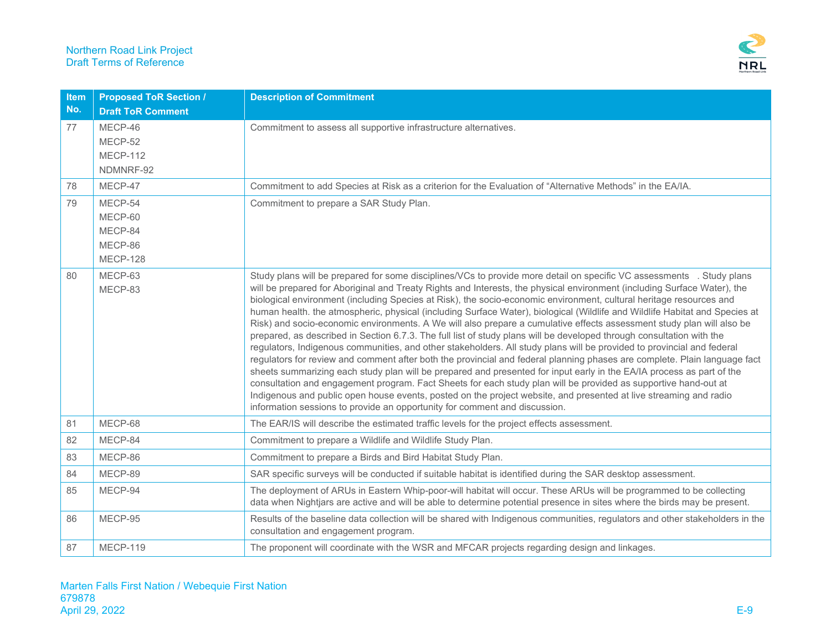

| <b>Item</b><br>No. | <b>Proposed ToR Section /</b><br><b>Draft ToR Comment</b>   | <b>Description of Commitment</b>                                                                                                                                                                                                                                                                                                                                                                                                                                                                                                                                                                                                                                                                                                                                                                                                                                                                                                                                                                                                                                                                                                                                                                                                                                                                                                                                                                                                                                |
|--------------------|-------------------------------------------------------------|-----------------------------------------------------------------------------------------------------------------------------------------------------------------------------------------------------------------------------------------------------------------------------------------------------------------------------------------------------------------------------------------------------------------------------------------------------------------------------------------------------------------------------------------------------------------------------------------------------------------------------------------------------------------------------------------------------------------------------------------------------------------------------------------------------------------------------------------------------------------------------------------------------------------------------------------------------------------------------------------------------------------------------------------------------------------------------------------------------------------------------------------------------------------------------------------------------------------------------------------------------------------------------------------------------------------------------------------------------------------------------------------------------------------------------------------------------------------|
| 77                 | MECP-46<br>MECP-52<br><b>MECP-112</b><br>NDMNRF-92          | Commitment to assess all supportive infrastructure alternatives.                                                                                                                                                                                                                                                                                                                                                                                                                                                                                                                                                                                                                                                                                                                                                                                                                                                                                                                                                                                                                                                                                                                                                                                                                                                                                                                                                                                                |
| 78                 | MECP-47                                                     | Commitment to add Species at Risk as a criterion for the Evaluation of "Alternative Methods" in the EA/IA.                                                                                                                                                                                                                                                                                                                                                                                                                                                                                                                                                                                                                                                                                                                                                                                                                                                                                                                                                                                                                                                                                                                                                                                                                                                                                                                                                      |
| 79                 | MECP-54<br>MECP-60<br>MECP-84<br>MECP-86<br><b>MECP-128</b> | Commitment to prepare a SAR Study Plan.                                                                                                                                                                                                                                                                                                                                                                                                                                                                                                                                                                                                                                                                                                                                                                                                                                                                                                                                                                                                                                                                                                                                                                                                                                                                                                                                                                                                                         |
| 80                 | MECP-63<br>MECP-83                                          | Study plans will be prepared for some disciplines/VCs to provide more detail on specific VC assessments . Study plans<br>will be prepared for Aboriginal and Treaty Rights and Interests, the physical environment (including Surface Water), the<br>biological environment (including Species at Risk), the socio-economic environment, cultural heritage resources and<br>human health. the atmospheric, physical (including Surface Water), biological (Wildlife and Wildlife Habitat and Species at<br>Risk) and socio-economic environments. A We will also prepare a cumulative effects assessment study plan will also be<br>prepared, as described in Section 6.7.3. The full list of study plans will be developed through consultation with the<br>regulators, Indigenous communities, and other stakeholders. All study plans will be provided to provincial and federal<br>regulators for review and comment after both the provincial and federal planning phases are complete. Plain language fact<br>sheets summarizing each study plan will be prepared and presented for input early in the EA/IA process as part of the<br>consultation and engagement program. Fact Sheets for each study plan will be provided as supportive hand-out at<br>Indigenous and public open house events, posted on the project website, and presented at live streaming and radio<br>information sessions to provide an opportunity for comment and discussion. |
| 81                 | MECP-68                                                     | The EAR/IS will describe the estimated traffic levels for the project effects assessment.                                                                                                                                                                                                                                                                                                                                                                                                                                                                                                                                                                                                                                                                                                                                                                                                                                                                                                                                                                                                                                                                                                                                                                                                                                                                                                                                                                       |
| 82                 | MECP-84                                                     | Commitment to prepare a Wildlife and Wildlife Study Plan.                                                                                                                                                                                                                                                                                                                                                                                                                                                                                                                                                                                                                                                                                                                                                                                                                                                                                                                                                                                                                                                                                                                                                                                                                                                                                                                                                                                                       |
| 83                 | MECP-86                                                     | Commitment to prepare a Birds and Bird Habitat Study Plan.                                                                                                                                                                                                                                                                                                                                                                                                                                                                                                                                                                                                                                                                                                                                                                                                                                                                                                                                                                                                                                                                                                                                                                                                                                                                                                                                                                                                      |
| 84                 | MECP-89                                                     | SAR specific surveys will be conducted if suitable habitat is identified during the SAR desktop assessment.                                                                                                                                                                                                                                                                                                                                                                                                                                                                                                                                                                                                                                                                                                                                                                                                                                                                                                                                                                                                                                                                                                                                                                                                                                                                                                                                                     |
| 85                 | MECP-94                                                     | The deployment of ARUs in Eastern Whip-poor-will habitat will occur. These ARUs will be programmed to be collecting<br>data when Nightjars are active and will be able to determine potential presence in sites where the birds may be present.                                                                                                                                                                                                                                                                                                                                                                                                                                                                                                                                                                                                                                                                                                                                                                                                                                                                                                                                                                                                                                                                                                                                                                                                                 |
| 86                 | MECP-95                                                     | Results of the baseline data collection will be shared with Indigenous communities, regulators and other stakeholders in the<br>consultation and engagement program.                                                                                                                                                                                                                                                                                                                                                                                                                                                                                                                                                                                                                                                                                                                                                                                                                                                                                                                                                                                                                                                                                                                                                                                                                                                                                            |
| 87                 | <b>MECP-119</b>                                             | The proponent will coordinate with the WSR and MFCAR projects regarding design and linkages.                                                                                                                                                                                                                                                                                                                                                                                                                                                                                                                                                                                                                                                                                                                                                                                                                                                                                                                                                                                                                                                                                                                                                                                                                                                                                                                                                                    |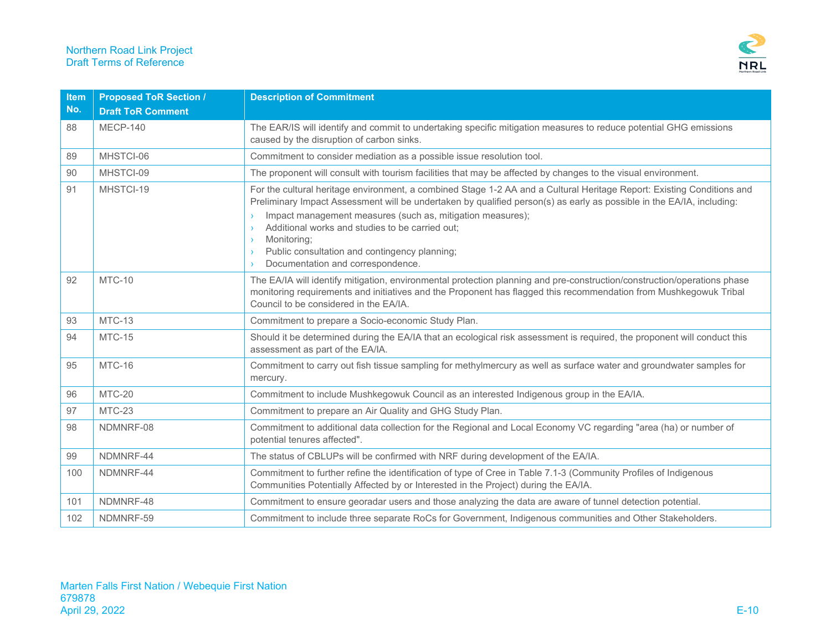

| Item<br>No. | <b>Proposed ToR Section /</b><br><b>Draft ToR Comment</b> | <b>Description of Commitment</b>                                                                                                                                                                                                                                                                                                                                                                                                                                      |
|-------------|-----------------------------------------------------------|-----------------------------------------------------------------------------------------------------------------------------------------------------------------------------------------------------------------------------------------------------------------------------------------------------------------------------------------------------------------------------------------------------------------------------------------------------------------------|
| 88          | MECP-140                                                  | The EAR/IS will identify and commit to undertaking specific mitigation measures to reduce potential GHG emissions<br>caused by the disruption of carbon sinks.                                                                                                                                                                                                                                                                                                        |
| 89          | MHSTCI-06                                                 | Commitment to consider mediation as a possible issue resolution tool.                                                                                                                                                                                                                                                                                                                                                                                                 |
| 90          | MHSTCI-09                                                 | The proponent will consult with tourism facilities that may be affected by changes to the visual environment.                                                                                                                                                                                                                                                                                                                                                         |
| 91          | MHSTCI-19                                                 | For the cultural heritage environment, a combined Stage 1-2 AA and a Cultural Heritage Report: Existing Conditions and<br>Preliminary Impact Assessment will be undertaken by qualified person(s) as early as possible in the EA/IA, including:<br>Impact management measures (such as, mitigation measures);<br>Additional works and studies to be carried out;<br>Monitoring;<br>Public consultation and contingency planning;<br>Documentation and correspondence. |
| 92          | MTC-10                                                    | The EA/IA will identify mitigation, environmental protection planning and pre-construction/construction/operations phase<br>monitoring requirements and initiatives and the Proponent has flagged this recommendation from Mushkegowuk Tribal<br>Council to be considered in the EA/IA.                                                                                                                                                                               |
| 93          | MTC-13                                                    | Commitment to prepare a Socio-economic Study Plan.                                                                                                                                                                                                                                                                                                                                                                                                                    |
| 94          | <b>MTC-15</b>                                             | Should it be determined during the EA/IA that an ecological risk assessment is required, the proponent will conduct this<br>assessment as part of the EA/IA.                                                                                                                                                                                                                                                                                                          |
| 95          | MTC-16                                                    | Commitment to carry out fish tissue sampling for methylmercury as well as surface water and groundwater samples for<br>mercury.                                                                                                                                                                                                                                                                                                                                       |
| 96          | <b>MTC-20</b>                                             | Commitment to include Mushkegowuk Council as an interested Indigenous group in the EA/IA.                                                                                                                                                                                                                                                                                                                                                                             |
| 97          | MTC-23                                                    | Commitment to prepare an Air Quality and GHG Study Plan.                                                                                                                                                                                                                                                                                                                                                                                                              |
| 98          | NDMNRF-08                                                 | Commitment to additional data collection for the Regional and Local Economy VC regarding "area (ha) or number of<br>potential tenures affected".                                                                                                                                                                                                                                                                                                                      |
| 99          | NDMNRF-44                                                 | The status of CBLUPs will be confirmed with NRF during development of the EA/IA.                                                                                                                                                                                                                                                                                                                                                                                      |
| 100         | NDMNRF-44                                                 | Commitment to further refine the identification of type of Cree in Table 7.1-3 (Community Profiles of Indigenous<br>Communities Potentially Affected by or Interested in the Project) during the EA/IA.                                                                                                                                                                                                                                                               |
| 101         | NDMNRF-48                                                 | Commitment to ensure georadar users and those analyzing the data are aware of tunnel detection potential.                                                                                                                                                                                                                                                                                                                                                             |
| 102         | NDMNRF-59                                                 | Commitment to include three separate RoCs for Government, Indigenous communities and Other Stakeholders.                                                                                                                                                                                                                                                                                                                                                              |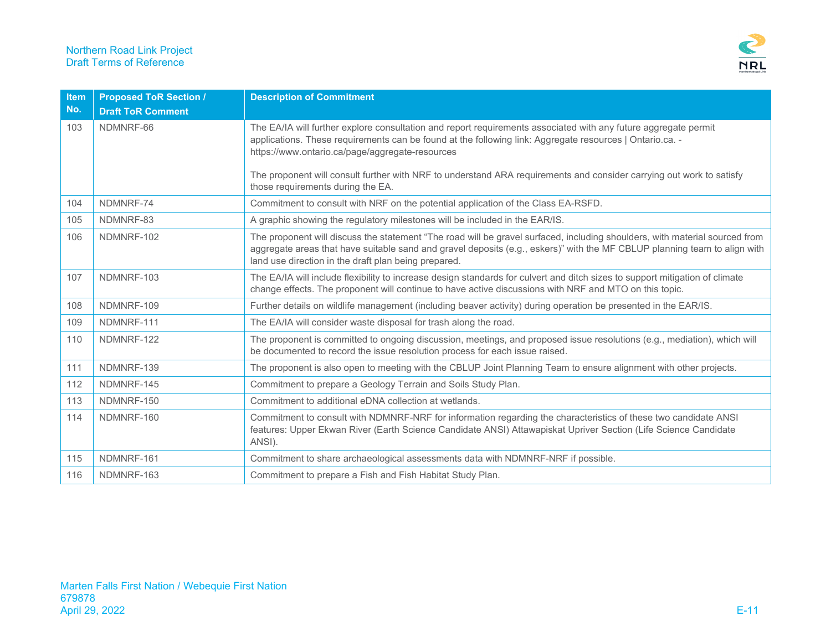

| <b>Item</b><br>No. | <b>Proposed ToR Section /</b><br><b>Draft ToR Comment</b> | <b>Description of Commitment</b>                                                                                                                                                                                                                                                                                 |
|--------------------|-----------------------------------------------------------|------------------------------------------------------------------------------------------------------------------------------------------------------------------------------------------------------------------------------------------------------------------------------------------------------------------|
| 103                | NDMNRF-66                                                 | The EA/IA will further explore consultation and report requirements associated with any future aggregate permit<br>applications. These requirements can be found at the following link: Aggregate resources   Ontario.ca. -<br>https://www.ontario.ca/page/aggregate-resources                                   |
|                    |                                                           | The proponent will consult further with NRF to understand ARA requirements and consider carrying out work to satisfy<br>those requirements during the EA.                                                                                                                                                        |
| 104                | NDMNRF-74                                                 | Commitment to consult with NRF on the potential application of the Class EA-RSFD.                                                                                                                                                                                                                                |
| 105                | NDMNRF-83                                                 | A graphic showing the regulatory milestones will be included in the EAR/IS.                                                                                                                                                                                                                                      |
| 106                | NDMNRF-102                                                | The proponent will discuss the statement "The road will be gravel surfaced, including shoulders, with material sourced from<br>aggregate areas that have suitable sand and gravel deposits (e.g., eskers)" with the MF CBLUP planning team to align with<br>land use direction in the draft plan being prepared. |
| 107                | NDMNRF-103                                                | The EA/IA will include flexibility to increase design standards for culvert and ditch sizes to support mitigation of climate<br>change effects. The proponent will continue to have active discussions with NRF and MTO on this topic.                                                                           |
| 108                | NDMNRF-109                                                | Further details on wildlife management (including beaver activity) during operation be presented in the EAR/IS.                                                                                                                                                                                                  |
| 109                | NDMNRF-111                                                | The EA/IA will consider waste disposal for trash along the road.                                                                                                                                                                                                                                                 |
| 110                | NDMNRF-122                                                | The proponent is committed to ongoing discussion, meetings, and proposed issue resolutions (e.g., mediation), which will<br>be documented to record the issue resolution process for each issue raised.                                                                                                          |
| 111                | NDMNRF-139                                                | The proponent is also open to meeting with the CBLUP Joint Planning Team to ensure alignment with other projects.                                                                                                                                                                                                |
| 112                | NDMNRF-145                                                | Commitment to prepare a Geology Terrain and Soils Study Plan.                                                                                                                                                                                                                                                    |
| 113                | NDMNRF-150                                                | Commitment to additional eDNA collection at wetlands.                                                                                                                                                                                                                                                            |
| 114                | NDMNRF-160                                                | Commitment to consult with NDMNRF-NRF for information regarding the characteristics of these two candidate ANSI<br>features: Upper Ekwan River (Earth Science Candidate ANSI) Attawapiskat Upriver Section (Life Science Candidate<br>ANSI).                                                                     |
| 115                | NDMNRF-161                                                | Commitment to share archaeological assessments data with NDMNRF-NRF if possible.                                                                                                                                                                                                                                 |
| 116                | NDMNRF-163                                                | Commitment to prepare a Fish and Fish Habitat Study Plan.                                                                                                                                                                                                                                                        |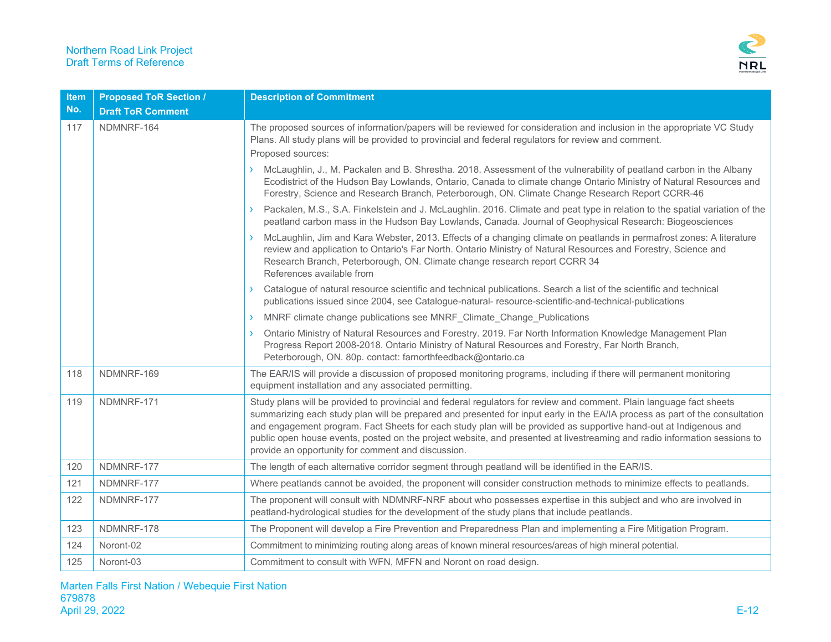

| Item | <b>Proposed ToR Section /</b> | <b>Description of Commitment</b>                                                                                                                                                                                                                                                                                                                                                                                                                                                                                                                            |
|------|-------------------------------|-------------------------------------------------------------------------------------------------------------------------------------------------------------------------------------------------------------------------------------------------------------------------------------------------------------------------------------------------------------------------------------------------------------------------------------------------------------------------------------------------------------------------------------------------------------|
| No.  | <b>Draft ToR Comment</b>      |                                                                                                                                                                                                                                                                                                                                                                                                                                                                                                                                                             |
| 117  | NDMNRF-164                    | The proposed sources of information/papers will be reviewed for consideration and inclusion in the appropriate VC Study<br>Plans. All study plans will be provided to provincial and federal regulators for review and comment.                                                                                                                                                                                                                                                                                                                             |
|      |                               | Proposed sources:                                                                                                                                                                                                                                                                                                                                                                                                                                                                                                                                           |
|      |                               | McLaughlin, J., M. Packalen and B. Shrestha. 2018. Assessment of the vulnerability of peatland carbon in the Albany<br>Ecodistrict of the Hudson Bay Lowlands, Ontario, Canada to climate change Ontario Ministry of Natural Resources and<br>Forestry, Science and Research Branch, Peterborough, ON. Climate Change Research Report CCRR-46                                                                                                                                                                                                               |
|      |                               | Packalen, M.S., S.A. Finkelstein and J. McLaughlin. 2016. Climate and peat type in relation to the spatial variation of the<br>peatland carbon mass in the Hudson Bay Lowlands, Canada. Journal of Geophysical Research: Biogeosciences                                                                                                                                                                                                                                                                                                                     |
|      |                               | McLaughlin, Jim and Kara Webster, 2013. Effects of a changing climate on peatlands in permafrost zones: A literature<br>review and application to Ontario's Far North. Ontario Ministry of Natural Resources and Forestry, Science and<br>Research Branch, Peterborough, ON. Climate change research report CCRR 34<br>References available from                                                                                                                                                                                                            |
|      |                               | Catalogue of natural resource scientific and technical publications. Search a list of the scientific and technical<br>publications issued since 2004, see Catalogue-natural-resource-scientific-and-technical-publications                                                                                                                                                                                                                                                                                                                                  |
|      |                               | MNRF climate change publications see MNRF Climate Change Publications                                                                                                                                                                                                                                                                                                                                                                                                                                                                                       |
|      |                               | Ontario Ministry of Natural Resources and Forestry. 2019. Far North Information Knowledge Management Plan<br>Progress Report 2008-2018. Ontario Ministry of Natural Resources and Forestry, Far North Branch,<br>Peterborough, ON. 80p. contact: farnorthfeedback@ontario.ca                                                                                                                                                                                                                                                                                |
| 118  | NDMNRF-169                    | The EAR/IS will provide a discussion of proposed monitoring programs, including if there will permanent monitoring<br>equipment installation and any associated permitting.                                                                                                                                                                                                                                                                                                                                                                                 |
| 119  | NDMNRF-171                    | Study plans will be provided to provincial and federal regulators for review and comment. Plain language fact sheets<br>summarizing each study plan will be prepared and presented for input early in the EA/IA process as part of the consultation<br>and engagement program. Fact Sheets for each study plan will be provided as supportive hand-out at Indigenous and<br>public open house events, posted on the project website, and presented at livestreaming and radio information sessions to<br>provide an opportunity for comment and discussion. |
| 120  | NDMNRF-177                    | The length of each alternative corridor segment through peatland will be identified in the EAR/IS.                                                                                                                                                                                                                                                                                                                                                                                                                                                          |
| 121  | NDMNRF-177                    | Where peatlands cannot be avoided, the proponent will consider construction methods to minimize effects to peatlands.                                                                                                                                                                                                                                                                                                                                                                                                                                       |
| 122  | NDMNRF-177                    | The proponent will consult with NDMNRF-NRF about who possesses expertise in this subject and who are involved in<br>peatland-hydrological studies for the development of the study plans that include peatlands.                                                                                                                                                                                                                                                                                                                                            |
| 123  | NDMNRF-178                    | The Proponent will develop a Fire Prevention and Preparedness Plan and implementing a Fire Mitigation Program.                                                                                                                                                                                                                                                                                                                                                                                                                                              |
| 124  | Noront-02                     | Commitment to minimizing routing along areas of known mineral resources/areas of high mineral potential.                                                                                                                                                                                                                                                                                                                                                                                                                                                    |
| 125  | Noront-03                     | Commitment to consult with WFN, MFFN and Noront on road design.                                                                                                                                                                                                                                                                                                                                                                                                                                                                                             |